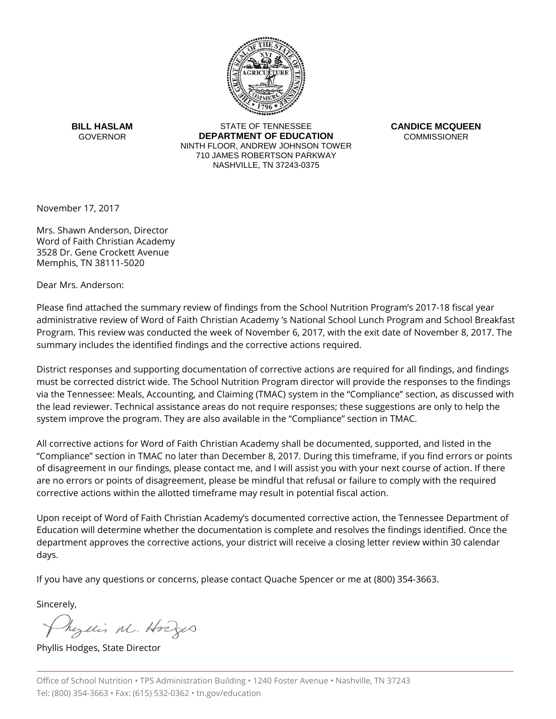

**BILL HASLAM GOVERNOR** 

STATE OF TENNESSEE **DEPARTMENT OF EDUCATION** NINTH FLOOR, ANDREW JOHNSON TOWER 710 JAMES ROBERTSON PARKWAY NASHVILLE, TN 37243-0375

**CANDICE MCQUEEN COMMISSIONER** 

November 17, 2017

Mrs. Shawn Anderson, Director Word of Faith Christian Academy 3528 Dr. Gene Crockett Avenue Memphis, TN 38111-5020

Dear Mrs. Anderson:

Please find attached the summary review of findings from the School Nutrition Program's 2017-18 fiscal year administrative review of Word of Faith Christian Academy 's National School Lunch Program and School Breakfast Program. This review was conducted the week of November 6, 2017, with the exit date of November 8, 2017. The summary includes the identified findings and the corrective actions required.

District responses and supporting documentation of corrective actions are required for all findings, and findings must be corrected district wide. The School Nutrition Program director will provide the responses to the findings via the Tennessee: Meals, Accounting, and Claiming (TMAC) system in the "Compliance" section, as discussed with the lead reviewer. Technical assistance areas do not require responses; these suggestions are only to help the system improve the program. They are also available in the "Compliance" section in TMAC.

All corrective actions for Word of Faith Christian Academy shall be documented, supported, and listed in the "Compliance" section in TMAC no later than December 8, 2017. During this timeframe, if you find errors or points of disagreement in our findings, please contact me, and I will assist you with your next course of action. If there are no errors or points of disagreement, please be mindful that refusal or failure to comply with the required corrective actions within the allotted timeframe may result in potential fiscal action.

Upon receipt of Word of Faith Christian Academy's documented corrective action, the Tennessee Department of Education will determine whether the documentation is complete and resolves the findings identified. Once the department approves the corrective actions, your district will receive a closing letter review within 30 calendar days.

If you have any questions or concerns, please contact Quache Spencer or me at (800) 354-3663.

Sincerely,

Myllis M. Hodges

Phyllis Hodges, State Director